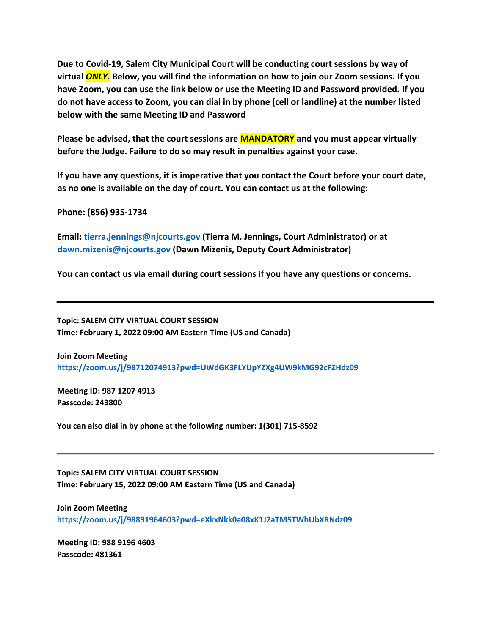**Due to Covid-19, Salem City Municipal Court will be conducting court sessions by way of virtual** *ONLY.* **Below, you will find the information on how to join our Zoom sessions. If you have Zoom, you can use the link below or use the Meeting ID and Password provided. If you do not have access to Zoom, you can dial in by phone (cell or landline) at the number listed below with the same Meeting ID and Password** 

**Please be advised, that the court sessions are MANDATORY and you must appear virtually before the Judge. Failure to do so may result in penalties against your case.** 

**If you have any questions, it is imperative that you contact the Court before your court date, as no one is available on the day of court. You can contact us at the following:** 

**Phone: (856) 935-1734** 

**Email: tierra.jennings@njcourts.gov (Tierra M. Jennings, Court Administrator) or at dawn.mizenis@njcourts.gov (Dawn Mizenis, Deputy Court Administrator)** 

**You can contact us via email during court sessions if you have any questions or concerns.** 

**Topic: SALEM CITY VIRTUAL COURT SESSION Time: February 1, 2022 09:00 AM Eastern Time (US and Canada)** 

**Join Zoom Meeting https://zoom.us/j/98712074913?pwd=UWdGK3FLYUpYZXg4UW9kMG92cFZHdz09**

**Meeting ID: 987 1207 4913 Passcode: 243800** 

**You can also dial in by phone at the following number: 1(301) 715-8592** 

**Topic: SALEM CITY VIRTUAL COURT SESSION Time: February 15, 2022 09:00 AM Eastern Time (US and Canada)** 

**Join Zoom Meeting https://zoom.us/j/98891964603?pwd=eXkxNkk0a08xK1J2aTM5TWhUbXRNdz09**

**Meeting ID: 988 9196 4603 Passcode: 481361**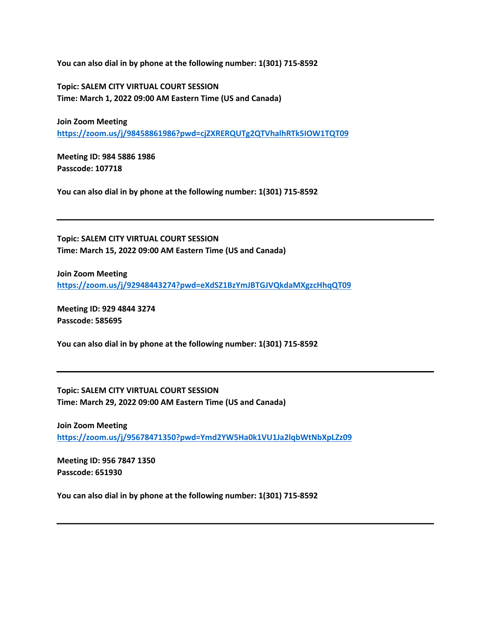**You can also dial in by phone at the following number: 1(301) 715-8592** 

**Topic: SALEM CITY VIRTUAL COURT SESSION Time: March 1, 2022 09:00 AM Eastern Time (US and Canada)** 

**Join Zoom Meeting https://zoom.us/j/98458861986?pwd=cjZXRERQUTg2QTVhalhRTk5IOW1TQT09**

**Meeting ID: 984 5886 1986 Passcode: 107718** 

**You can also dial in by phone at the following number: 1(301) 715-8592** 

**Topic: SALEM CITY VIRTUAL COURT SESSION Time: March 15, 2022 09:00 AM Eastern Time (US and Canada)** 

**Join Zoom Meeting https://zoom.us/j/92948443274?pwd=eXdSZ1BzYmJBTGJVQkdaMXgzcHhqQT09**

**Meeting ID: 929 4844 3274 Passcode: 585695** 

**You can also dial in by phone at the following number: 1(301) 715-8592** 

**Topic: SALEM CITY VIRTUAL COURT SESSION Time: March 29, 2022 09:00 AM Eastern Time (US and Canada)** 

**Join Zoom Meeting https://zoom.us/j/95678471350?pwd=Ymd2YW5Ha0k1VU1Ja2lqbWtNbXpLZz09**

**Meeting ID: 956 7847 1350 Passcode: 651930**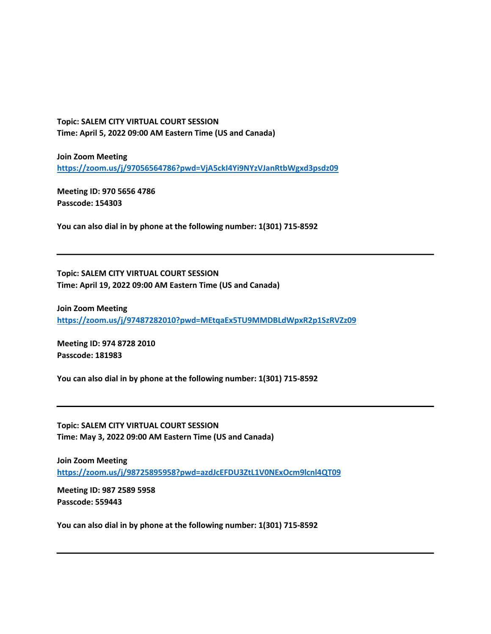**Topic: SALEM CITY VIRTUAL COURT SESSION Time: April 5, 2022 09:00 AM Eastern Time (US and Canada)** 

**Join Zoom Meeting https://zoom.us/j/97056564786?pwd=VjA5ckI4Yi9NYzVJanRtbWgxd3psdz09**

**Meeting ID: 970 5656 4786 Passcode: 154303** 

**You can also dial in by phone at the following number: 1(301) 715-8592** 

**Topic: SALEM CITY VIRTUAL COURT SESSION Time: April 19, 2022 09:00 AM Eastern Time (US and Canada)** 

**Join Zoom Meeting https://zoom.us/j/97487282010?pwd=MEtqaEx5TU9MMDBLdWpxR2p1SzRVZz09**

**Meeting ID: 974 8728 2010 Passcode: 181983** 

**You can also dial in by phone at the following number: 1(301) 715-8592** 

**Topic: SALEM CITY VIRTUAL COURT SESSION Time: May 3, 2022 09:00 AM Eastern Time (US and Canada)** 

**Join Zoom Meeting https://zoom.us/j/98725895958?pwd=azdJcEFDU3ZtL1V0NExOcm9lcnl4QT09**

**Meeting ID: 987 2589 5958 Passcode: 559443**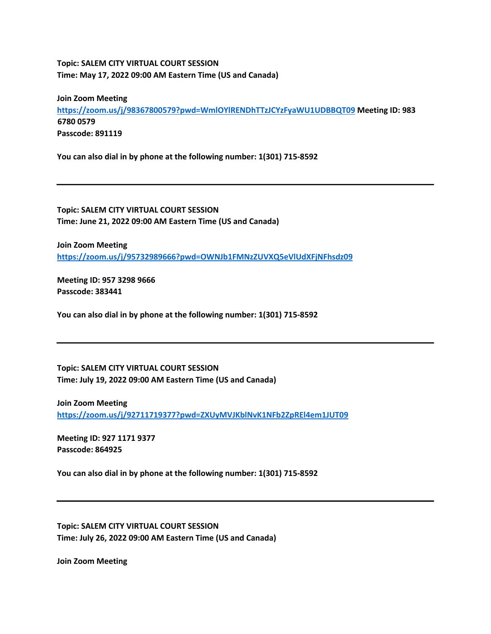## **Topic: SALEM CITY VIRTUAL COURT SESSION Time: May 17, 2022 09:00 AM Eastern Time (US and Canada)**

**Join Zoom Meeting https://zoom.us/j/98367800579?pwd=WmlOYlRENDhTTzJCYzFyaWU1UDBBQT09 Meeting ID: 983 6780 0579 Passcode: 891119** 

**You can also dial in by phone at the following number: 1(301) 715-8592** 

**Topic: SALEM CITY VIRTUAL COURT SESSION Time: June 21, 2022 09:00 AM Eastern Time (US and Canada)** 

**Join Zoom Meeting https://zoom.us/j/95732989666?pwd=OWNJb1FMNzZUVXQ5eVlUdXFjNFhsdz09**

**Meeting ID: 957 3298 9666 Passcode: 383441** 

**You can also dial in by phone at the following number: 1(301) 715-8592** 

**Topic: SALEM CITY VIRTUAL COURT SESSION Time: July 19, 2022 09:00 AM Eastern Time (US and Canada)** 

**Join Zoom Meeting** 

**https://zoom.us/j/92711719377?pwd=ZXUyMVJKblNvK1NFb2ZpREl4em1JUT09**

**Meeting ID: 927 1171 9377 Passcode: 864925** 

**You can also dial in by phone at the following number: 1(301) 715-8592** 

**Topic: SALEM CITY VIRTUAL COURT SESSION Time: July 26, 2022 09:00 AM Eastern Time (US and Canada)** 

**Join Zoom Meeting**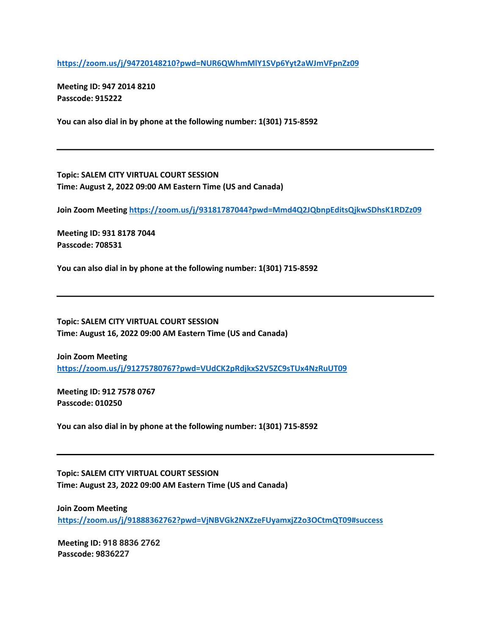**https://zoom.us/j/94720148210?pwd=NUR6QWhmMlY1SVp6Yyt2aWJmVFpnZz09**

**Meeting ID: 947 2014 8210 Passcode: 915222** 

**You can also dial in by phone at the following number: 1(301) 715-8592** 

**Topic: SALEM CITY VIRTUAL COURT SESSION Time: August 2, 2022 09:00 AM Eastern Time (US and Canada)** 

**Join Zoom Meeting https://zoom.us/j/93181787044?pwd=Mmd4Q2JQbnpEditsQjkwSDhsK1RDZz09**

**Meeting ID: 931 8178 7044 Passcode: 708531** 

**You can also dial in by phone at the following number: 1(301) 715-8592** 

**Topic: SALEM CITY VIRTUAL COURT SESSION Time: August 16, 2022 09:00 AM Eastern Time (US and Canada)** 

**Join Zoom Meeting https://zoom.us/j/91275780767?pwd=VUdCK2pRdjkxS2V5ZC9sTUx4NzRuUT09**

**Meeting ID: 912 7578 0767 Passcode: 010250** 

**You can also dial in by phone at the following number: 1(301) 715-8592** 

**Topic: SALEM CITY VIRTUAL COURT SESSION Time: August 23, 2022 09:00 AM Eastern Time (US and Canada)** 

**Join Zoom Meeting https://zoom.us/j/91888362762?pwd=VjNBVGk2NXZzeFUyamxjZ2o3OCtmQT09#success**

**Meeting ID: 918 8836 2762 Passcode: 9836227**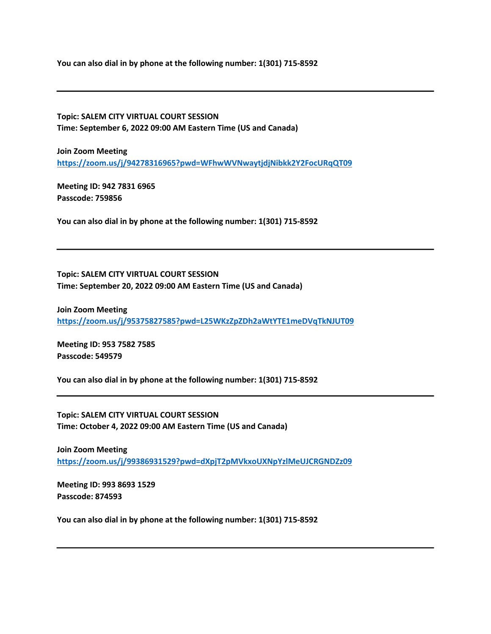**You can also dial in by phone at the following number: 1(301) 715-8592** 

**Topic: SALEM CITY VIRTUAL COURT SESSION Time: September 6, 2022 09:00 AM Eastern Time (US and Canada)** 

**Join Zoom Meeting https://zoom.us/j/94278316965?pwd=WFhwWVNwaytjdjNibkk2Y2FocURqQT09**

**Meeting ID: 942 7831 6965 Passcode: 759856** 

**You can also dial in by phone at the following number: 1(301) 715-8592** 

**Topic: SALEM CITY VIRTUAL COURT SESSION Time: September 20, 2022 09:00 AM Eastern Time (US and Canada)** 

**Join Zoom Meeting https://zoom.us/j/95375827585?pwd=L25WKzZpZDh2aWtYTE1meDVqTkNJUT09**

**Meeting ID: 953 7582 7585 Passcode: 549579** 

**You can also dial in by phone at the following number: 1(301) 715-8592** 

**Topic: SALEM CITY VIRTUAL COURT SESSION Time: October 4, 2022 09:00 AM Eastern Time (US and Canada)** 

**Join Zoom Meeting https://zoom.us/j/99386931529?pwd=dXpjT2pMVkxoUXNpYzlMeUJCRGNDZz09**

**Meeting ID: 993 8693 1529 Passcode: 874593**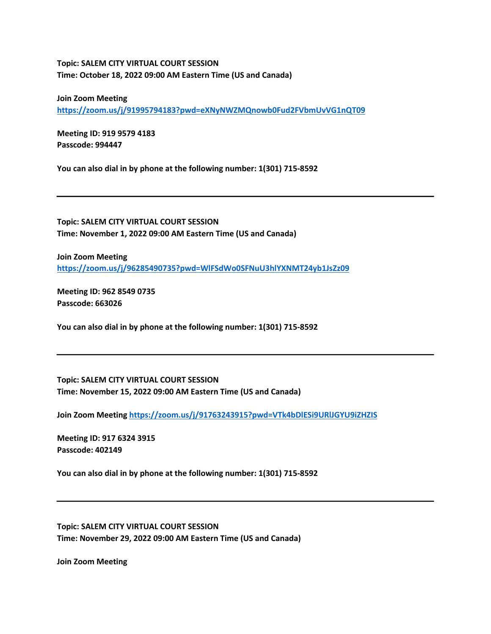## **Topic: SALEM CITY VIRTUAL COURT SESSION Time: October 18, 2022 09:00 AM Eastern Time (US and Canada)**

**Join Zoom Meeting** 

**https://zoom.us/j/91995794183?pwd=eXNyNWZMQnowb0Fud2FVbmUvVG1nQT09**

**Meeting ID: 919 9579 4183 Passcode: 994447** 

**You can also dial in by phone at the following number: 1(301) 715-8592** 

**Topic: SALEM CITY VIRTUAL COURT SESSION Time: November 1, 2022 09:00 AM Eastern Time (US and Canada)** 

**Join Zoom Meeting https://zoom.us/j/96285490735?pwd=WlFSdWo0SFNuU3hlYXNMT24yb1JsZz09**

**Meeting ID: 962 8549 0735 Passcode: 663026** 

**You can also dial in by phone at the following number: 1(301) 715-8592** 

**Topic: SALEM CITY VIRTUAL COURT SESSION Time: November 15, 2022 09:00 AM Eastern Time (US and Canada)** 

**Join Zoom Meeting https://zoom.us/j/91763243915?pwd=VTk4bDlESi9URlJGYU9iZHZIS**

**Meeting ID: 917 6324 3915 Passcode: 402149** 

**You can also dial in by phone at the following number: 1(301) 715-8592** 

**Topic: SALEM CITY VIRTUAL COURT SESSION Time: November 29, 2022 09:00 AM Eastern Time (US and Canada)** 

**Join Zoom Meeting**